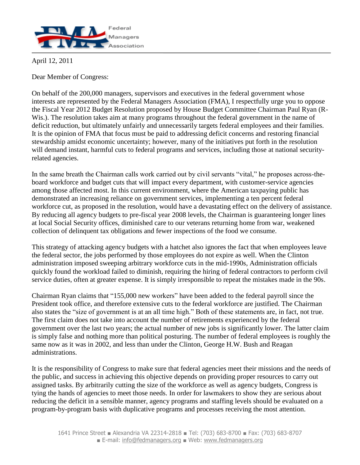

April 12, 2011

Dear Member of Congress:

On behalf of the 200,000 managers, supervisors and executives in the federal government whose interests are represented by the Federal Managers Association (FMA), I respectfully urge you to oppose the Fiscal Year 2012 Budget Resolution proposed by House Budget Committee Chairman Paul Ryan (R-Wis.). The resolution takes aim at many programs throughout the federal government in the name of deficit reduction, but ultimately unfairly and unnecessarily targets federal employees and their families. It is the opinion of FMA that focus must be paid to addressing deficit concerns and restoring financial stewardship amidst economic uncertainty; however, many of the initiatives put forth in the resolution will demand instant, harmful cuts to federal programs and services, including those at national securityrelated agencies.

In the same breath the Chairman calls work carried out by civil servants "vital," he proposes across-theboard workforce and budget cuts that will impact every department, with customer-service agencies among those affected most. In this current environment, where the American taxpaying public has demonstrated an increasing reliance on government services, implementing a ten percent federal workforce cut, as proposed in the resolution, would have a devastating effect on the delivery of assistance. By reducing all agency budgets to pre-fiscal year 2008 levels, the Chairman is guaranteeing longer lines at local Social Security offices, diminished care to our veterans returning home from war, weakened collection of delinquent tax obligations and fewer inspections of the food we consume.

This strategy of attacking agency budgets with a hatchet also ignores the fact that when employees leave the federal sector, the jobs performed by those employees do not expire as well. When the Clinton administration imposed sweeping arbitrary workforce cuts in the mid-1990s, Administration officials quickly found the workload failed to diminish, requiring the hiring of federal contractors to perform civil service duties, often at greater expense. It is simply irresponsible to repeat the mistakes made in the 90s.

Chairman Ryan claims that "155,000 new workers" have been added to the federal payroll since the President took office, and therefore extensive cuts to the federal workforce are justified. The Chairman also states the "size of government is at an all time high." Both of these statements are, in fact, not true. The first claim does not take into account the number of retirements experienced by the federal government over the last two years; the actual number of new jobs is significantly lower. The latter claim is simply false and nothing more than political posturing. The number of federal employees is roughly the same now as it was in 2002, and less than under the Clinton, George H.W. Bush and Reagan administrations.

It is the responsibility of Congress to make sure that federal agencies meet their missions and the needs of the public, and success in achieving this objective depends on providing proper resources to carry out assigned tasks. By arbitrarily cutting the size of the workforce as well as agency budgets, Congress is tying the hands of agencies to meet those needs. In order for lawmakers to show they are serious about reducing the deficit in a sensible manner, agency programs and staffing levels should be evaluated on a program-by-program basis with duplicative programs and processes receiving the most attention.